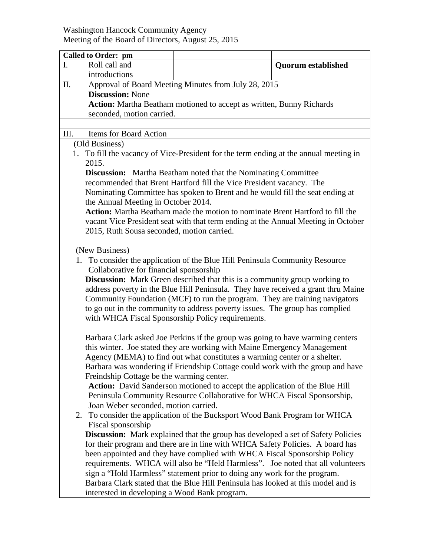## Washington Hancock Community Agency Meeting of the Board of Directors, August 25, 2015

|                                                                                                                                                                                                                                                                                                                                                                                                                                                                                                                                         | <b>Quorum established</b>                                                                                                                                                                                                                                                                                                                                                                                                                                                                                                                                                                                                                                                                                                                                                                                                                                                                                                                                                                                                                                                                                                                                                                                                                                                                                  |  |
|-----------------------------------------------------------------------------------------------------------------------------------------------------------------------------------------------------------------------------------------------------------------------------------------------------------------------------------------------------------------------------------------------------------------------------------------------------------------------------------------------------------------------------------------|------------------------------------------------------------------------------------------------------------------------------------------------------------------------------------------------------------------------------------------------------------------------------------------------------------------------------------------------------------------------------------------------------------------------------------------------------------------------------------------------------------------------------------------------------------------------------------------------------------------------------------------------------------------------------------------------------------------------------------------------------------------------------------------------------------------------------------------------------------------------------------------------------------------------------------------------------------------------------------------------------------------------------------------------------------------------------------------------------------------------------------------------------------------------------------------------------------------------------------------------------------------------------------------------------------|--|
|                                                                                                                                                                                                                                                                                                                                                                                                                                                                                                                                         |                                                                                                                                                                                                                                                                                                                                                                                                                                                                                                                                                                                                                                                                                                                                                                                                                                                                                                                                                                                                                                                                                                                                                                                                                                                                                                            |  |
|                                                                                                                                                                                                                                                                                                                                                                                                                                                                                                                                         |                                                                                                                                                                                                                                                                                                                                                                                                                                                                                                                                                                                                                                                                                                                                                                                                                                                                                                                                                                                                                                                                                                                                                                                                                                                                                                            |  |
| <b>Discussion: None</b>                                                                                                                                                                                                                                                                                                                                                                                                                                                                                                                 |                                                                                                                                                                                                                                                                                                                                                                                                                                                                                                                                                                                                                                                                                                                                                                                                                                                                                                                                                                                                                                                                                                                                                                                                                                                                                                            |  |
| Action: Martha Beatham motioned to accept as written, Bunny Richards                                                                                                                                                                                                                                                                                                                                                                                                                                                                    |                                                                                                                                                                                                                                                                                                                                                                                                                                                                                                                                                                                                                                                                                                                                                                                                                                                                                                                                                                                                                                                                                                                                                                                                                                                                                                            |  |
|                                                                                                                                                                                                                                                                                                                                                                                                                                                                                                                                         |                                                                                                                                                                                                                                                                                                                                                                                                                                                                                                                                                                                                                                                                                                                                                                                                                                                                                                                                                                                                                                                                                                                                                                                                                                                                                                            |  |
|                                                                                                                                                                                                                                                                                                                                                                                                                                                                                                                                         |                                                                                                                                                                                                                                                                                                                                                                                                                                                                                                                                                                                                                                                                                                                                                                                                                                                                                                                                                                                                                                                                                                                                                                                                                                                                                                            |  |
| III.<br>Items for Board Action                                                                                                                                                                                                                                                                                                                                                                                                                                                                                                          |                                                                                                                                                                                                                                                                                                                                                                                                                                                                                                                                                                                                                                                                                                                                                                                                                                                                                                                                                                                                                                                                                                                                                                                                                                                                                                            |  |
| (Old Business)                                                                                                                                                                                                                                                                                                                                                                                                                                                                                                                          |                                                                                                                                                                                                                                                                                                                                                                                                                                                                                                                                                                                                                                                                                                                                                                                                                                                                                                                                                                                                                                                                                                                                                                                                                                                                                                            |  |
| 1. To fill the vacancy of Vice-President for the term ending at the annual meeting in                                                                                                                                                                                                                                                                                                                                                                                                                                                   |                                                                                                                                                                                                                                                                                                                                                                                                                                                                                                                                                                                                                                                                                                                                                                                                                                                                                                                                                                                                                                                                                                                                                                                                                                                                                                            |  |
| 2015.                                                                                                                                                                                                                                                                                                                                                                                                                                                                                                                                   |                                                                                                                                                                                                                                                                                                                                                                                                                                                                                                                                                                                                                                                                                                                                                                                                                                                                                                                                                                                                                                                                                                                                                                                                                                                                                                            |  |
| <b>Discussion:</b> Martha Beatham noted that the Nominating Committee                                                                                                                                                                                                                                                                                                                                                                                                                                                                   |                                                                                                                                                                                                                                                                                                                                                                                                                                                                                                                                                                                                                                                                                                                                                                                                                                                                                                                                                                                                                                                                                                                                                                                                                                                                                                            |  |
| recommended that Brent Hartford fill the Vice President vacancy. The                                                                                                                                                                                                                                                                                                                                                                                                                                                                    |                                                                                                                                                                                                                                                                                                                                                                                                                                                                                                                                                                                                                                                                                                                                                                                                                                                                                                                                                                                                                                                                                                                                                                                                                                                                                                            |  |
| Nominating Committee has spoken to Brent and he would fill the seat ending at                                                                                                                                                                                                                                                                                                                                                                                                                                                           |                                                                                                                                                                                                                                                                                                                                                                                                                                                                                                                                                                                                                                                                                                                                                                                                                                                                                                                                                                                                                                                                                                                                                                                                                                                                                                            |  |
| the Annual Meeting in October 2014.<br>Action: Martha Beatham made the motion to nominate Brent Hartford to fill the                                                                                                                                                                                                                                                                                                                                                                                                                    |                                                                                                                                                                                                                                                                                                                                                                                                                                                                                                                                                                                                                                                                                                                                                                                                                                                                                                                                                                                                                                                                                                                                                                                                                                                                                                            |  |
|                                                                                                                                                                                                                                                                                                                                                                                                                                                                                                                                         |                                                                                                                                                                                                                                                                                                                                                                                                                                                                                                                                                                                                                                                                                                                                                                                                                                                                                                                                                                                                                                                                                                                                                                                                                                                                                                            |  |
| vacant Vice President seat with that term ending at the Annual Meeting in October<br>2015, Ruth Sousa seconded, motion carried.                                                                                                                                                                                                                                                                                                                                                                                                         |                                                                                                                                                                                                                                                                                                                                                                                                                                                                                                                                                                                                                                                                                                                                                                                                                                                                                                                                                                                                                                                                                                                                                                                                                                                                                                            |  |
|                                                                                                                                                                                                                                                                                                                                                                                                                                                                                                                                         |                                                                                                                                                                                                                                                                                                                                                                                                                                                                                                                                                                                                                                                                                                                                                                                                                                                                                                                                                                                                                                                                                                                                                                                                                                                                                                            |  |
| (New Business)<br>1. To consider the application of the Blue Hill Peninsula Community Resource<br>Collaborative for financial sponsorship<br><b>Discussion:</b> Mark Green described that this is a community group working to<br>address poverty in the Blue Hill Peninsula. They have received a grant thru Maine<br>Community Foundation (MCF) to run the program. They are training navigators<br>to go out in the community to address poverty issues. The group has complied<br>with WHCA Fiscal Sponsorship Policy requirements. |                                                                                                                                                                                                                                                                                                                                                                                                                                                                                                                                                                                                                                                                                                                                                                                                                                                                                                                                                                                                                                                                                                                                                                                                                                                                                                            |  |
|                                                                                                                                                                                                                                                                                                                                                                                                                                                                                                                                         |                                                                                                                                                                                                                                                                                                                                                                                                                                                                                                                                                                                                                                                                                                                                                                                                                                                                                                                                                                                                                                                                                                                                                                                                                                                                                                            |  |
|                                                                                                                                                                                                                                                                                                                                                                                                                                                                                                                                         | Approval of Board Meeting Minutes from July 28, 2015<br>seconded, motion carried.<br>Barbara Clark asked Joe Perkins if the group was going to have warming centers<br>this winter. Joe stated they are working with Maine Emergency Management<br>Agency (MEMA) to find out what constitutes a warming center or a shelter.<br>Barbara was wondering if Friendship Cottage could work with the group and have<br>Freindship Cottage be the warming center.<br>Action: David Sanderson motioned to accept the application of the Blue Hill<br>Peninsula Community Resource Collaborative for WHCA Fiscal Sponsorship,<br>Joan Weber seconded, motion carried.<br>2. To consider the application of the Bucksport Wood Bank Program for WHCA<br><b>Discussion:</b> Mark explained that the group has developed a set of Safety Policies<br>for their program and there are in line with WHCA Safety Policies. A board has<br>been appointed and they have complied with WHCA Fiscal Sponsorship Policy<br>requirements. WHCA will also be "Held Harmless". Joe noted that all volunteers<br>sign a "Hold Harmless" statement prior to doing any work for the program.<br>Barbara Clark stated that the Blue Hill Peninsula has looked at this model and is<br>interested in developing a Wood Bank program. |  |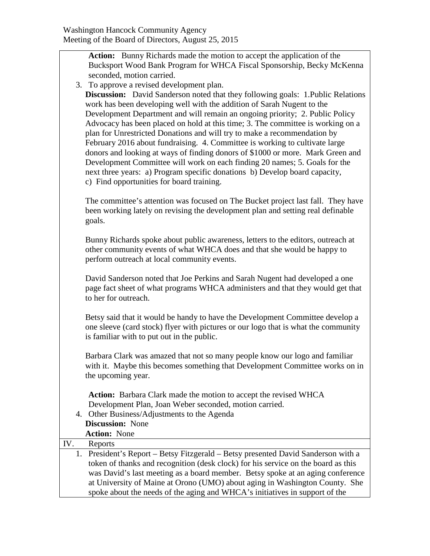| Action: Bunny Richards made the motion to accept the application of the                                                                                     |
|-------------------------------------------------------------------------------------------------------------------------------------------------------------|
| Bucksport Wood Bank Program for WHCA Fiscal Sponsorship, Becky McKenna                                                                                      |
| seconded, motion carried.                                                                                                                                   |
| 3. To approve a revised development plan.                                                                                                                   |
| <b>Discussion:</b> David Sanderson noted that they following goals: 1. Public Relations                                                                     |
| work has been developing well with the addition of Sarah Nugent to the                                                                                      |
| Development Department and will remain an ongoing priority; 2. Public Policy                                                                                |
| Advocacy has been placed on hold at this time; 3. The committee is working on a                                                                             |
| plan for Unrestricted Donations and will try to make a recommendation by                                                                                    |
| February 2016 about fundraising. 4. Committee is working to cultivate large                                                                                 |
| donors and looking at ways of finding donors of \$1000 or more. Mark Green and                                                                              |
| Development Committee will work on each finding 20 names; 5. Goals for the                                                                                  |
| next three years: a) Program specific donations b) Develop board capacity,                                                                                  |
| c) Find opportunities for board training.                                                                                                                   |
|                                                                                                                                                             |
| The committee's attention was focused on The Bucket project last fall. They have                                                                            |
| been working lately on revising the development plan and setting real definable                                                                             |
| goals.                                                                                                                                                      |
|                                                                                                                                                             |
| Bunny Richards spoke about public awareness, letters to the editors, outreach at                                                                            |
| other community events of what WHCA does and that she would be happy to                                                                                     |
| perform outreach at local community events.                                                                                                                 |
|                                                                                                                                                             |
| David Sanderson noted that Joe Perkins and Sarah Nugent had developed a one                                                                                 |
| page fact sheet of what programs WHCA administers and that they would get that                                                                              |
| to her for outreach.                                                                                                                                        |
|                                                                                                                                                             |
| Betsy said that it would be handy to have the Development Committee develop a                                                                               |
| one sleeve (card stock) flyer with pictures or our logo that is what the community                                                                          |
| is familiar with to put out in the public.                                                                                                                  |
|                                                                                                                                                             |
| Barbara Clark was amazed that not so many people know our logo and familiar<br>with it. Maybe this becomes something that Development Committee works on in |
| the upcoming year.                                                                                                                                          |
|                                                                                                                                                             |
| Action: Barbara Clark made the motion to accept the revised WHCA                                                                                            |
| Development Plan, Joan Weber seconded, motion carried.                                                                                                      |
| 4. Other Business/Adjustments to the Agenda                                                                                                                 |
| <b>Discussion:</b> None                                                                                                                                     |
| <b>Action: None</b>                                                                                                                                         |
| IV.<br>Reports                                                                                                                                              |
| 1. President's Report - Betsy Fitzgerald - Betsy presented David Sanderson with a                                                                           |
| token of thanks and recognition (desk clock) for his service on the board as this                                                                           |
| was David's last meeting as a board member. Betsy spoke at an aging conference                                                                              |
| at University of Maine at Orono (UMO) about aging in Washington County. She                                                                                 |
| spoke about the needs of the aging and WHCA's initiatives in support of the                                                                                 |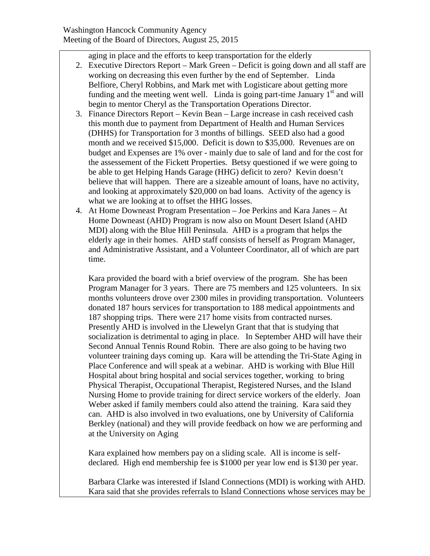aging in place and the efforts to keep transportation for the elderly

- 2. Executive Directors Report Mark Green Deficit is going down and all staff are working on decreasing this even further by the end of September. Linda Belfiore, Cheryl Robbins, and Mark met with Logisticare about getting more funding and the meeting went well. Linda is going part-time January  $1<sup>st</sup>$  and will begin to mentor Cheryl as the Transportation Operations Director.
- 3. Finance Directors Report Kevin Bean Large increase in cash received cash this month due to payment from Department of Health and Human Services (DHHS) for Transportation for 3 months of billings. SEED also had a good month and we received \$15,000. Deficit is down to \$35,000. Revenues are on budget and Expenses are 1% over - mainly due to sale of land and for the cost for the assessement of the Fickett Properties. Betsy questioned if we were going to be able to get Helping Hands Garage (HHG) deficit to zero? Kevin doesn't believe that will happen. There are a sizeable amount of loans, have no activity, and looking at approximately \$20,000 on bad loans. Activity of the agency is what we are looking at to offset the HHG losses.
- 4. At Home Downeast Program Presentation Joe Perkins and Kara Janes At Home Downeast (AHD) Program is now also on Mount Desert Island (AHD MDI) along with the Blue Hill Peninsula. AHD is a program that helps the elderly age in their homes. AHD staff consists of herself as Program Manager, and Administrative Assistant, and a Volunteer Coordinator, all of which are part time.

Kara provided the board with a brief overview of the program. She has been Program Manager for 3 years. There are 75 members and 125 volunteers. In six months volunteers drove over 2300 miles in providing transportation. Volunteers donated 187 hours services for transportation to 188 medical appointments and 187 shopping trips. There were 217 home visits from contracted nurses. Presently AHD is involved in the Llewelyn Grant that that is studying that socialization is detrimental to aging in place. In September AHD will have their Second Annual Tennis Round Robin. There are also going to be having two volunteer training days coming up. Kara will be attending the Tri-State Aging in Place Conference and will speak at a webinar. AHD is working with Blue Hill Hospital about bring hospital and social services together, working to bring Physical Therapist, Occupational Therapist, Registered Nurses, and the Island Nursing Home to provide training for direct service workers of the elderly. Joan Weber asked if family members could also attend the training. Kara said they can. AHD is also involved in two evaluations, one by University of California Berkley (national) and they will provide feedback on how we are performing and at the University on Aging

Kara explained how members pay on a sliding scale. All is income is selfdeclared. High end membership fee is \$1000 per year low end is \$130 per year.

Barbara Clarke was interested if Island Connections (MDI) is working with AHD. Kara said that she provides referrals to Island Connections whose services may be